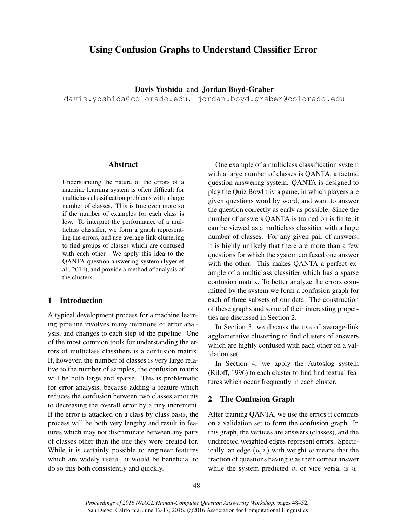# Using Confusion Graphs to Understand Classifier Error

Davis Yoshida and Jordan Boyd-Graber

davis.yoshida@colorado.edu, jordan.boyd.graber@colorado.edu

### Abstract

Understanding the nature of the errors of a machine learning system is often difficult for multiclass classification problems with a large number of classes. This is true even more so if the number of examples for each class is low. To interpret the performance of a multiclass classifier, we form a graph representing the errors, and use average-link clustering to find groups of classes which are confused with each other. We apply this idea to the QANTA question answering system (Iyyer et al., 2014), and provide a method of analysis of the clusters.

### 1 Introduction

A typical development process for a machine learning pipeline involves many iterations of error analysis, and changes to each step of the pipeline. One of the most common tools for understanding the errors of multiclass classifiers is a confusion matrix. If, however, the number of classes is very large relative to the number of samples, the confusion matrix will be both large and sparse. This is problematic for error analysis, because adding a feature which reduces the confusion between two classes amounts to decreasing the overall error by a tiny increment. If the error is attacked on a class by class basis, the process will be both very lengthy and result in features which may not discriminate between any pairs of classes other than the one they were created for. While it is certainly possible to engineer features which are widely useful, it would be beneficial to do so this both consistently and quickly.

One example of a multiclass classification system with a large number of classes is QANTA, a factoid question answering system. QANTA is designed to play the Quiz Bowl trivia game, in which players are given questions word by word, and want to answer the question correctly as early as possible. Since the number of answers QANTA is trained on is finite, it can be viewed as a multiclass classifier with a large number of classes. For any given pair of answers, it is highly unlikely that there are more than a few questions for which the system confused one answer with the other. This makes QANTA a perfect example of a multiclass classifier which has a sparse confusion matrix. To better analyze the errors committed by the system we form a confusion graph for each of three subsets of our data. The construction of these graphs and some of their interesting properties are discussed in Section 2.

In Section 3, we discuss the use of average-link agglomerative clustering to find clusters of answers which are highly confused with each other on a validation set.

In Section 4, we apply the Autoslog system (Riloff, 1996) to each cluster to find find textual features which occur frequently in each cluster.

#### 2 The Confusion Graph

After training QANTA, we use the errors it commits on a validation set to form the confusion graph. In this graph, the vertices are answers (classes), and the undirected weighted edges represent errors. Specifically, an edge  $(u, v)$  with weight w means that the fraction of questions having  $u$  as their correct answer while the system predicted  $v$ , or vice versa, is  $w$ .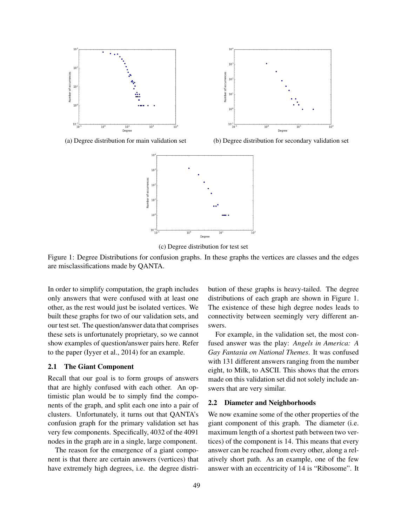

(a) Degree distribution for main validation set (b) Degree distribution for secondary validation set



(c) Degree distribution for test set

Figure 1: Degree Distributions for confusion graphs. In these graphs the vertices are classes and the edges are misclassifications made by QANTA.

In order to simplify computation, the graph includes only answers that were confused with at least one other, as the rest would just be isolated vertices. We built these graphs for two of our validation sets, and our test set. The question/answer data that comprises these sets is unfortunately proprietary, so we cannot show examples of question/answer pairs here. Refer to the paper (Iyyer et al., 2014) for an example.

#### 2.1 The Giant Component

Recall that our goal is to form groups of answers that are highly confused with each other. An optimistic plan would be to simply find the components of the graph, and split each one into a pair of clusters. Unfortunately, it turns out that QANTA's confusion graph for the primary validation set has very few components. Specifically, 4032 of the 4091 nodes in the graph are in a single, large component.

The reason for the emergence of a giant component is that there are certain answers (vertices) that have extremely high degrees, i.e. the degree distribution of these graphs is heavy-tailed. The degree distributions of each graph are shown in Figure 1. The existence of these high degree nodes leads to connectivity between seemingly very different answers.

For example, in the validation set, the most confused answer was the play: *Angels in America: A Gay Fantasia on National Themes*. It was confused with 131 different answers ranging from the number eight, to Milk, to ASCII. This shows that the errors made on this validation set did not solely include answers that are very similar.

#### 2.2 Diameter and Neighborhoods

We now examine some of the other properties of the giant component of this graph. The diameter (i.e. maximum length of a shortest path between two vertices) of the component is 14. This means that every answer can be reached from every other, along a relatively short path. As an example, one of the few answer with an eccentricity of 14 is "Ribosome". It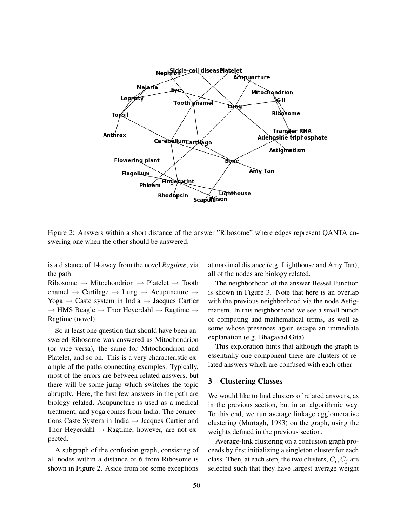

Figure 2: Answers within a short distance of the answer "Ribosome" where edges represent QANTA answering one when the other should be answered.

is a distance of 14 away from the novel *Ragtime*, via the path:

Ribosome  $\rightarrow$  Mitochondrion  $\rightarrow$  Platelet  $\rightarrow$  Tooth enamel  $\rightarrow$  Cartilage  $\rightarrow$  Lung  $\rightarrow$  Acupuncture  $\rightarrow$ Yoga  $\rightarrow$  Caste system in India  $\rightarrow$  Jacques Cartier  $\rightarrow$  HMS Beagle  $\rightarrow$  Thor Heyerdahl  $\rightarrow$  Ragtime  $\rightarrow$ Ragtime (novel).

So at least one question that should have been answered Ribosome was answered as Mitochondrion (or vice versa), the same for Mitochondrion and Platelet, and so on. This is a very characteristic example of the paths connecting examples. Typically, most of the errors are between related answers, but there will be some jump which switches the topic abruptly. Here, the first few answers in the path are biology related, Acupuncture is used as a medical treatment, and yoga comes from India. The connections Caste System in India  $\rightarrow$  Jacques Cartier and Thor Heyerdahl  $\rightarrow$  Ragtime, however, are not expected.

A subgraph of the confusion graph, consisting of all nodes within a distance of 6 from Ribosome is shown in Figure 2. Aside from for some exceptions at maximal distance (e.g. Lighthouse and Amy Tan), all of the nodes are biology related.

The neighborhood of the answer Bessel Function is shown in Figure 3. Note that here is an overlap with the previous neighborhood via the node Astigmatism. In this neighborhood we see a small bunch of computing and mathematical terms, as well as some whose presences again escape an immediate explanation (e.g. Bhagavad Gita).

This exploration hints that although the graph is essentially one component there are clusters of related answers which are confused with each other

### 3 Clustering Classes

We would like to find clusters of related answers, as in the previous section, but in an algorithmic way. To this end, we run average linkage agglomerative clustering (Murtagh, 1983) on the graph, using the weights defined in the previous section.

Average-link clustering on a confusion graph proceeds by first initializing a singleton cluster for each class. Then, at each step, the two clusters,  $C_i, C_j$  are selected such that they have largest average weight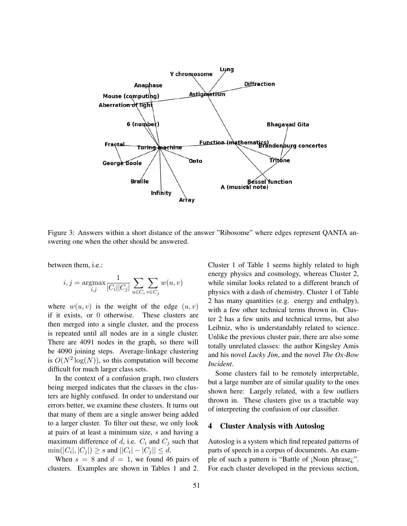

Figure 3: Answers within a short distance of the answer "Ribosome" where edges represent QANTA answering one when the other should be answered.

between them, i.e.:

$$
i,j = \operatornamewithlimits{argmax}_{i,j} \frac{1}{|C_i||C_j|} \sum_{u \in C_i} \sum_{v \in C_j} w(u,v)
$$

where  $w(u, v)$  is the weight of the edge  $(u, v)$ if it exists, or 0 otherwise. These clusters are then merged into a single cluster, and the process is repeated until all nodes are in a single cluster. There are 4091 nodes in the graph, so there will be 4090 joining steps. Average-linkage clustering is  $O(N^2 \log(N))$ , so this computation will become difficult for much larger class sets.

In the context of a confusion graph, two clusters being merged indicates that the classes in the clusters are highly confused. In order to understand our errors better, we examine these clusters. It turns out that many of them are a single answer being added to a larger cluster. To filter out these, we only look at pairs of at least a minimum size, s and having a maximum difference of d, i.e.  $C_i$  and  $C_j$  such that  $\min(|C_i|, |C_j|) \ge s$  and  $||C_i| - |C_j|| \le d$ .

When  $s = 8$  and  $d = 1$ , we found 46 pairs of clusters. Examples are shown in Tables 1 and 2. Cluster 1 of Table 1 seems highly related to high energy physics and cosmology, whereas Cluster 2, while similar looks related to a different branch of physics with a dash of chemistry. Cluster 1 of Table 2 has many quantities (e.g. energy and enthalpy), with a few other technical terms thrown in. Cluster 2 has a few units and technical terms, but also Leibniz, who is understandably related to science. Unlike the previous cluster pair, there are also some totally unrelated classes: the author Kingsley Amis and his novel *Lucky Jim*, and the novel *The Ox-Bow Incident*.

Some clusters fail to be remotely interpretable, but a large number are of similar quality to the ones shown here: Largely related, with a few outliers thrown in. These clusters give us a tractable way of interpreting the confusion of our classifier.

### 4 Cluster Analysis with Autoslog

Autoslog is a system which find repeated patterns of parts of speech in a corpus of documents. An example of such a pattern is "Battle of ¡Noun phrase¿". For each cluster developed in the previous section,